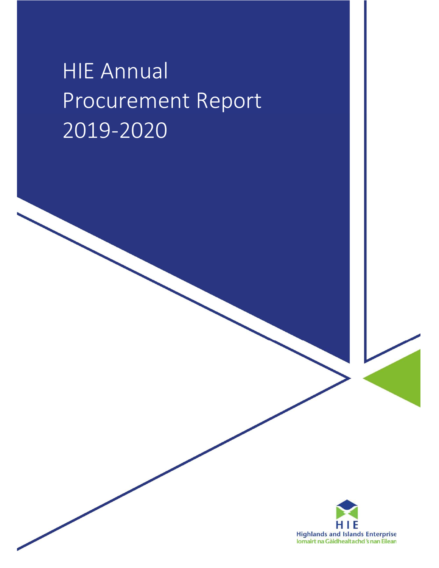# **HIE Annual** Procurement Report 2019-2020

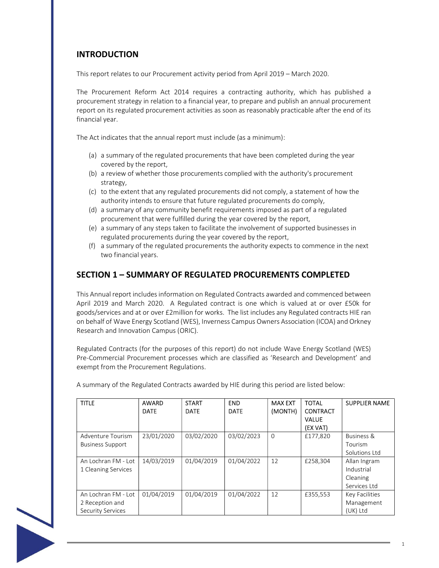# INTRODUCTION

This report relates to our Procurement activity period from April 2019 – March 2020.

The Procurement Reform Act 2014 requires a contracting authority, which has published a procurement strategy in relation to a financial year, to prepare and publish an annual procurement report on its regulated procurement activities as soon as reasonably practicable after the end of its financial year.

The Act indicates that the annual report must include (as a minimum):

- (a) a summary of the regulated procurements that have been completed during the year covered by the report,
- (b) a review of whether those procurements complied with the authority's procurement strategy,
- (c) to the extent that any regulated procurements did not comply, a statement of how the authority intends to ensure that future regulated procurements do comply,
- (d) a summary of any community benefit requirements imposed as part of a regulated procurement that were fulfilled during the year covered by the report,
- (e) a summary of any steps taken to facilitate the involvement of supported businesses in regulated procurements during the year covered by the report,
- (f) a summary of the regulated procurements the authority expects to commence in the next two financial years.

## SECTION 1 – SUMMARY OF REGULATED PROCUREMENTS COMPLETED

This Annual report includes information on Regulated Contracts awarded and commenced between April 2019 and March 2020. A Regulated contract is one which is valued at or over £50k for goods/services and at or over £2million for works. The list includes any Regulated contracts HIE ran on behalf of Wave Energy Scotland (WES), Inverness Campus Owners Association (ICOA) and Orkney Research and Innovation Campus (ORIC).

Regulated Contracts (for the purposes of this report) do not include Wave Energy Scotland (WES) Pre-Commercial Procurement processes which are classified as 'Research and Development' and exempt from the Procurement Regulations.

| <b>TITLE</b>            | <b>AWARD</b><br><b>DATE</b> | <b>START</b><br><b>DATE</b> | <b>END</b><br><b>DATE</b> | <b>MAX EXT</b><br>(MONTH) | <b>TOTAL</b><br><b>CONTRACT</b><br><b>VALUE</b><br>(EX VAT) | <b>SUPPLIER NAME</b>  |
|-------------------------|-----------------------------|-----------------------------|---------------------------|---------------------------|-------------------------------------------------------------|-----------------------|
| Adventure Tourism       | 23/01/2020                  | 03/02/2020                  | 03/02/2023                | $\Omega$                  | £177,820                                                    | <b>Business &amp;</b> |
| <b>Business Support</b> |                             |                             |                           |                           |                                                             | Tourism               |
|                         |                             |                             |                           |                           |                                                             | Solutions Ltd         |
| An Lochran FM - Lot     | 14/03/2019                  | 01/04/2019                  | 01/04/2022                | 12                        | £258,304                                                    | Allan Ingram          |
| 1 Cleaning Services     |                             |                             |                           |                           |                                                             | Industrial            |
|                         |                             |                             |                           |                           |                                                             | Cleaning              |
|                         |                             |                             |                           |                           |                                                             | Services Ltd          |
| An Lochran FM - Lot     | 01/04/2019                  | 01/04/2019                  | 01/04/2022                | 12                        | £355,553                                                    | Key Facilities        |
| 2 Reception and         |                             |                             |                           |                           |                                                             | Management            |
| Security Services       |                             |                             |                           |                           |                                                             | (UK) Ltd              |

A summary of the Regulated Contracts awarded by HIE during this period are listed below:

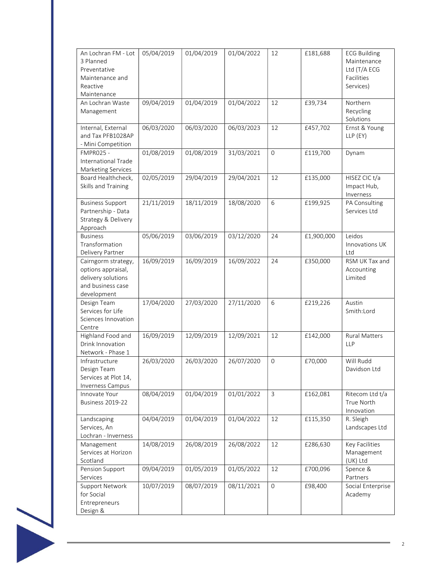| An Lochran FM - Lot<br>3 Planned<br>Preventative<br>Maintenance and<br>Reactive<br>Maintenance      | 05/04/2019 | 01/04/2019 | 01/04/2022 | 12                  | £181,688   | <b>ECG Building</b><br>Maintenance<br>Ltd (T/A ECG<br>Facilities<br>Services) |
|-----------------------------------------------------------------------------------------------------|------------|------------|------------|---------------------|------------|-------------------------------------------------------------------------------|
| An Lochran Waste<br>Management                                                                      | 09/04/2019 | 01/04/2019 | 01/04/2022 | 12                  | £39,734    | Northern<br>Recycling<br>Solutions                                            |
| Internal, External<br>and Tax PFB1028AP<br>- Mini Competition                                       | 06/03/2020 | 06/03/2020 | 06/03/2023 | 12                  | £457,702   | Ernst & Young<br>LLP (EY)                                                     |
| FMPR025 -<br>International Trade<br>Marketing Services                                              | 01/08/2019 | 01/08/2019 | 31/03/2021 | $\mathsf{O}\xspace$ | £119,700   | Dynam                                                                         |
| Board Healthcheck,<br>Skills and Training                                                           | 02/05/2019 | 29/04/2019 | 29/04/2021 | 12                  | £135,000   | HISEZ CIC t/a<br>Impact Hub,<br>Inverness                                     |
| <b>Business Support</b><br>Partnership - Data<br>Strategy & Delivery<br>Approach                    | 21/11/2019 | 18/11/2019 | 18/08/2020 | 6                   | £199,925   | PA Consulting<br>Services Ltd                                                 |
| <b>Business</b><br>Transformation<br>Delivery Partner                                               | 05/06/2019 | 03/06/2019 | 03/12/2020 | 24                  | £1,900,000 | Leidos<br>Innovations UK<br>Ltd                                               |
| Cairngorm strategy,<br>options appraisal,<br>delivery solutions<br>and business case<br>development | 16/09/2019 | 16/09/2019 | 16/09/2022 | 24                  | £350,000   | RSM UK Tax and<br>Accounting<br>Limited                                       |
| Design Team<br>Services for Life<br>Sciences Innovation<br>Centre                                   | 17/04/2020 | 27/03/2020 | 27/11/2020 | 6                   | £219,226   | Austin<br>Smith:Lord                                                          |
| Highland Food and<br>Drink Innovation<br>Network - Phase 1                                          | 16/09/2019 | 12/09/2019 | 12/09/2021 | 12                  | £142,000   | <b>Rural Matters</b><br><b>LLP</b>                                            |
| Infrastructure<br>Design Team<br>Services at Plot 14,<br>Inverness Campus                           | 26/03/2020 | 26/03/2020 | 26/07/2020 | $\mathsf{O}$        | £70,000    | Will Rudd<br>Davidson Ltd                                                     |
| Innovate Your<br><b>Business 2019-22</b>                                                            | 08/04/2019 | 01/04/2019 | 01/01/2022 | 3                   | £162,081   | Ritecom Ltd t/a<br>True North<br>Innovation                                   |
| Landscaping<br>Services, An<br>Lochran - Inverness                                                  | 04/04/2019 | 01/04/2019 | 01/04/2022 | 12                  | £115,350   | R. Sleigh<br>Landscapes Ltd                                                   |
| Management<br>Services at Horizon<br>Scotland                                                       | 14/08/2019 | 26/08/2019 | 26/08/2022 | 12                  | £286,630   | Key Facilities<br>Management<br>(UK) Ltd                                      |
| Pension Support<br>Services                                                                         | 09/04/2019 | 01/05/2019 | 01/05/2022 | 12                  | £700,096   | Spence &<br>Partners                                                          |
| Support Network<br>for Social<br>Entrepreneurs<br>Design &                                          | 10/07/2019 | 08/07/2019 | 08/11/2021 | $\mathsf{O}\xspace$ | £98,400    | Social Enterprise<br>Academy                                                  |

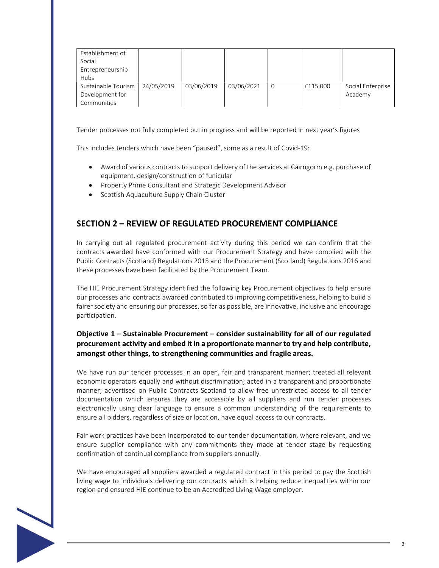| Establishment of<br>Social<br>Entrepreneurship<br>Hubs |            |            |            |                |          |                              |
|--------------------------------------------------------|------------|------------|------------|----------------|----------|------------------------------|
| Sustainable Tourism<br>Development for<br>Communities  | 24/05/2019 | 03/06/2019 | 03/06/2021 | $\overline{0}$ | £115,000 | Social Enterprise<br>Academy |

Tender processes not fully completed but in progress and will be reported in next year's figures

This includes tenders which have been "paused", some as a result of Covid-19:

- Award of various contracts to support delivery of the services at Cairngorm e.g. purchase of equipment, design/construction of funicular
- Property Prime Consultant and Strategic Development Advisor
- Scottish Aquaculture Supply Chain Cluster

## SECTION 2 – REVIEW OF REGULATED PROCUREMENT COMPLIANCE

In carrying out all regulated procurement activity during this period we can confirm that the contracts awarded have conformed with our Procurement Strategy and have complied with the Public Contracts (Scotland) Regulations 2015 and the Procurement (Scotland) Regulations 2016 and these processes have been facilitated by the Procurement Team.

The HIE Procurement Strategy identified the following key Procurement objectives to help ensure our processes and contracts awarded contributed to improving competitiveness, helping to build a fairer society and ensuring our processes, so far as possible, are innovative, inclusive and encourage participation.

## Objective 1 – Sustainable Procurement – consider sustainability for all of our regulated procurement activity and embed it in a proportionate manner to try and help contribute, amongst other things, to strengthening communities and fragile areas.

We have run our tender processes in an open, fair and transparent manner; treated all relevant economic operators equally and without discrimination; acted in a transparent and proportionate manner; advertised on Public Contracts Scotland to allow free unrestricted access to all tender documentation which ensures they are accessible by all suppliers and run tender processes electronically using clear language to ensure a common understanding of the requirements to ensure all bidders, regardless of size or location, have equal access to our contracts.

Fair work practices have been incorporated to our tender documentation, where relevant, and we ensure supplier compliance with any commitments they made at tender stage by requesting confirmation of continual compliance from suppliers annually.

We have encouraged all suppliers awarded a regulated contract in this period to pay the Scottish living wage to individuals delivering our contracts which is helping reduce inequalities within our region and ensured HIE continue to be an Accredited Living Wage employer.

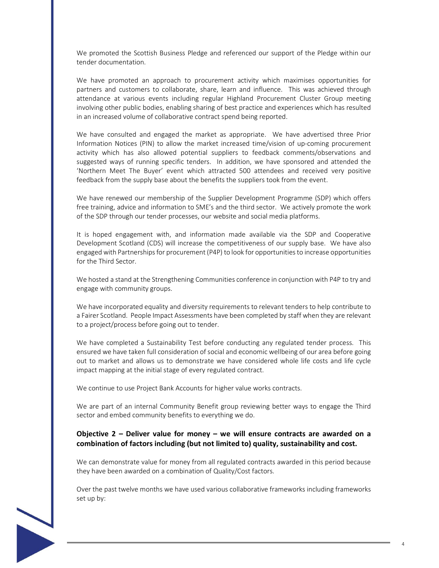We promoted the Scottish Business Pledge and referenced our support of the Pledge within our tender documentation.

We have promoted an approach to procurement activity which maximises opportunities for partners and customers to collaborate, share, learn and influence. This was achieved through attendance at various events including regular Highland Procurement Cluster Group meeting involving other public bodies, enabling sharing of best practice and experiences which has resulted in an increased volume of collaborative contract spend being reported.

We have consulted and engaged the market as appropriate. We have advertised three Prior Information Notices (PIN) to allow the market increased time/vision of up-coming procurement activity which has also allowed potential suppliers to feedback comments/observations and suggested ways of running specific tenders. In addition, we have sponsored and attended the 'Northern Meet The Buyer' event which attracted 500 attendees and received very positive feedback from the supply base about the benefits the suppliers took from the event.

We have renewed our membership of the Supplier Development Programme (SDP) which offers free training, advice and information to SME's and the third sector. We actively promote the work of the SDP through our tender processes, our website and social media platforms.

It is hoped engagement with, and information made available via the SDP and Cooperative Development Scotland (CDS) will increase the competitiveness of our supply base. We have also engaged with Partnerships for procurement (P4P) to look for opportunities to increase opportunities for the Third Sector.

We hosted a stand at the Strengthening Communities conference in conjunction with P4P to try and engage with community groups.

We have incorporated equality and diversity requirements to relevant tenders to help contribute to a Fairer Scotland. People Impact Assessments have been completed by staff when they are relevant to a project/process before going out to tender.

We have completed a Sustainability Test before conducting any regulated tender process. This ensured we have taken full consideration of social and economic wellbeing of our area before going out to market and allows us to demonstrate we have considered whole life costs and life cycle impact mapping at the initial stage of every regulated contract.

We continue to use Project Bank Accounts for higher value works contracts.

We are part of an internal Community Benefit group reviewing better ways to engage the Third sector and embed community benefits to everything we do.

#### Objective 2 – Deliver value for money – we will ensure contracts are awarded on a combination of factors including (but not limited to) quality, sustainability and cost.

We can demonstrate value for money from all regulated contracts awarded in this period because they have been awarded on a combination of Quality/Cost factors.

Over the past twelve months we have used various collaborative frameworks including frameworks set up by: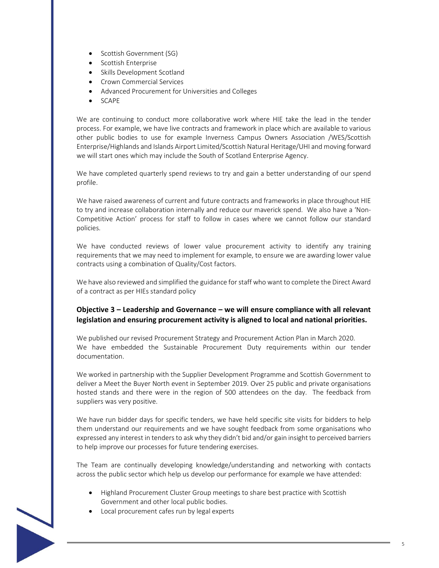- Scottish Government (SG)
- **•** Scottish Enterprise
- Skills Development Scotland
- Crown Commercial Services
- Advanced Procurement for Universities and Colleges
- SCAPE

We are continuing to conduct more collaborative work where HIE take the lead in the tender process. For example, we have live contracts and framework in place which are available to various other public bodies to use for example Inverness Campus Owners Association /WES/Scottish Enterprise/Highlands and Islands Airport Limited/Scottish Natural Heritage/UHI and moving forward we will start ones which may include the South of Scotland Enterprise Agency.

We have completed quarterly spend reviews to try and gain a better understanding of our spend profile.

We have raised awareness of current and future contracts and frameworks in place throughout HIE to try and increase collaboration internally and reduce our maverick spend. We also have a 'Non-Competitive Action' process for staff to follow in cases where we cannot follow our standard policies.

We have conducted reviews of lower value procurement activity to identify any training requirements that we may need to implement for example, to ensure we are awarding lower value contracts using a combination of Quality/Cost factors.

We have also reviewed and simplified the guidance for staff who want to complete the Direct Award of a contract as per HIEs standard policy

## Objective 3 – Leadership and Governance – we will ensure compliance with all relevant legislation and ensuring procurement activity is aligned to local and national priorities.

We published our revised Procurement Strategy and Procurement Action Plan in March 2020. We have embedded the Sustainable Procurement Duty requirements within our tender documentation.

We worked in partnership with the Supplier Development Programme and Scottish Government to deliver a Meet the Buyer North event in September 2019. Over 25 public and private organisations hosted stands and there were in the region of 500 attendees on the day. The feedback from suppliers was very positive.

We have run bidder days for specific tenders, we have held specific site visits for bidders to help them understand our requirements and we have sought feedback from some organisations who expressed any interest in tenders to ask why they didn't bid and/or gain insight to perceived barriers to help improve our processes for future tendering exercises.

The Team are continually developing knowledge/understanding and networking with contacts across the public sector which help us develop our performance for example we have attended:

- Highland Procurement Cluster Group meetings to share best practice with Scottish Government and other local public bodies.
- Local procurement cafes run by legal experts

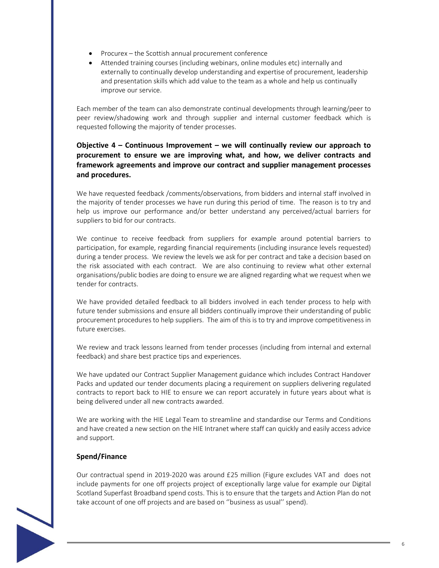- Procurex the Scottish annual procurement conference
- Attended training courses (including webinars, online modules etc) internally and externally to continually develop understanding and expertise of procurement, leadership and presentation skills which add value to the team as a whole and help us continually improve our service.

Each member of the team can also demonstrate continual developments through learning/peer to peer review/shadowing work and through supplier and internal customer feedback which is requested following the majority of tender processes.

## Objective  $4$  – Continuous Improvement – we will continually review our approach to procurement to ensure we are improving what, and how, we deliver contracts and framework agreements and improve our contract and supplier management processes and procedures.

We have requested feedback /comments/observations, from bidders and internal staff involved in the majority of tender processes we have run during this period of time. The reason is to try and help us improve our performance and/or better understand any perceived/actual barriers for suppliers to bid for our contracts.

We continue to receive feedback from suppliers for example around potential barriers to participation, for example, regarding financial requirements (including insurance levels requested) during a tender process. We review the levels we ask for per contract and take a decision based on the risk associated with each contract. We are also continuing to review what other external organisations/public bodies are doing to ensure we are aligned regarding what we request when we tender for contracts.

We have provided detailed feedback to all bidders involved in each tender process to help with future tender submissions and ensure all bidders continually improve their understanding of public procurement procedures to help suppliers. The aim of this is to try and improve competitiveness in future exercises.

We review and track lessons learned from tender processes (including from internal and external feedback) and share best practice tips and experiences.

We have updated our Contract Supplier Management guidance which includes Contract Handover Packs and updated our tender documents placing a requirement on suppliers delivering regulated contracts to report back to HIE to ensure we can report accurately in future years about what is being delivered under all new contracts awarded.

We are working with the HIE Legal Team to streamline and standardise our Terms and Conditions and have created a new section on the HIE Intranet where staff can quickly and easily access advice and support.

#### Spend/Finance

Our contractual spend in 2019-2020 was around £25 million (Figure excludes VAT and does not include payments for one off projects project of exceptionally large value for example our Digital Scotland Superfast Broadband spend costs. This is to ensure that the targets and Action Plan do not take account of one off projects and are based on ''business as usual'' spend).



6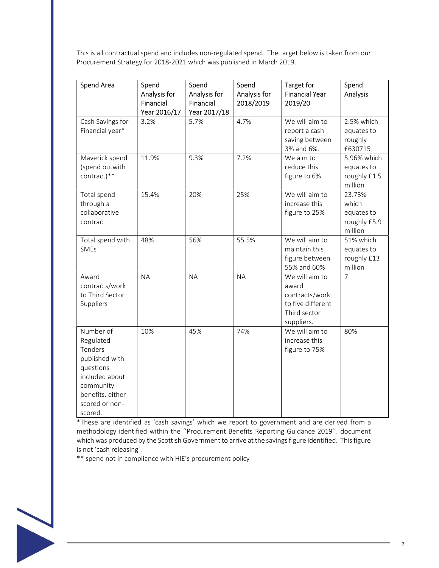This is all contractual spend and includes non-regulated spend. The target below is taken from our Procurement Strategy for 2018-2021 which was published in March 2019.

| <b>Spend Area</b>                                                                                                                                | Spend<br>Analysis for<br>Financial<br>Year 2016/17 | Spend<br>Analysis for<br>Financial<br>Year 2017/18 | Spend<br>Analysis for<br>2018/2019 | Target for<br><b>Financial Year</b><br>2019/20                                               | Spend<br>Analysis                                        |
|--------------------------------------------------------------------------------------------------------------------------------------------------|----------------------------------------------------|----------------------------------------------------|------------------------------------|----------------------------------------------------------------------------------------------|----------------------------------------------------------|
| Cash Savings for<br>Financial year*                                                                                                              | 3.2%                                               | 5.7%                                               | 4.7%                               | We will aim to<br>report a cash<br>saving between<br>3% and 6%.                              | 2.5% which<br>equates to<br>roughly<br>£630715           |
| Maverick spend<br>(spend outwith<br>contract)**                                                                                                  | 11.9%                                              | 9.3%                                               | 7.2%                               | We aim to<br>reduce this<br>figure to 6%                                                     | 5.96% which<br>equates to<br>roughly £1.5<br>million     |
| Total spend<br>through a<br>collaborative<br>contract                                                                                            | 15.4%                                              | 20%                                                | 25%                                | We will aim to<br>increase this<br>figure to 25%                                             | 23.73%<br>which<br>equates to<br>roughly £5.9<br>million |
| Total spend with<br><b>SMEs</b>                                                                                                                  | 48%                                                | 56%                                                | 55.5%                              | We will aim to<br>maintain this<br>figure between<br>55% and 60%                             | 51% which<br>equates to<br>roughly £13<br>million        |
| Award<br>contracts/work<br>to Third Sector<br>Suppliers                                                                                          | <b>NA</b>                                          | <b>NA</b>                                          | <b>NA</b>                          | We will aim to<br>award<br>contracts/work<br>to five different<br>Third sector<br>suppliers. | $\overline{7}$                                           |
| Number of<br>Regulated<br>Tenders<br>published with<br>questions<br>included about<br>community<br>benefits, either<br>scored or non-<br>scored. | 10%                                                | 45%                                                | 74%                                | We will aim to<br>increase this<br>figure to 75%                                             | 80%                                                      |

\*These are identified as 'cash savings' which we report to government and are derived from a methodology identified within the ''Procurement Benefits Reporting Guidance 2019''. document which was produced by the Scottish Government to arrive at the savings figure identified. This figure is not 'cash releasing'.

\*\* spend not in compliance with HIE's procurement policy

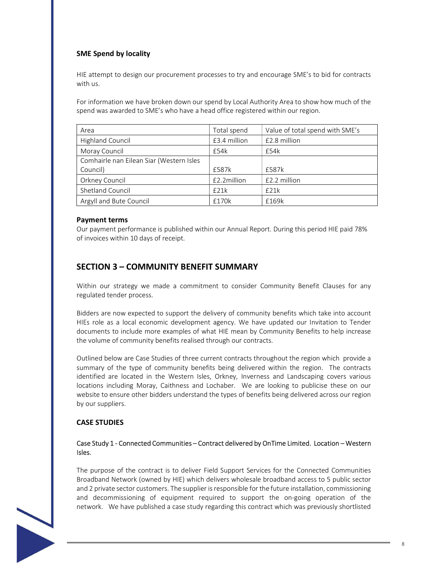## SME Spend by locality

HIE attempt to design our procurement processes to try and encourage SME's to bid for contracts with us.

For information we have broken down our spend by Local Authority Area to show how much of the spend was awarded to SME's who have a head office registered within our region.

| Area                                     | Total spend  | Value of total spend with SME's |
|------------------------------------------|--------------|---------------------------------|
| <b>Highland Council</b>                  | £3.4 million | £2.8 million                    |
| Moray Council                            | £54k         | £54k                            |
| Comhairle nan Eilean Siar (Western Isles |              |                                 |
| Council)                                 | £587k        | f587k                           |
| Orkney Council                           | £2.2million  | £2.2 million                    |
| Shetland Council                         | £21k         | £21k                            |
| Argyll and Bute Council                  | £170k        | f169k                           |

#### Payment terms

Our payment performance is published within our Annual Report. During this period HIE paid 78% of invoices within 10 days of receipt.

## SECTION 3 – COMMUNITY BENEFIT SUMMARY

Within our strategy we made a commitment to consider Community Benefit Clauses for any regulated tender process.

Bidders are now expected to support the delivery of community benefits which take into account HIEs role as a local economic development agency. We have updated our Invitation to Tender documents to include more examples of what HIE mean by Community Benefits to help increase the volume of community benefits realised through our contracts.

Outlined below are Case Studies of three current contracts throughout the region which provide a summary of the type of community benefits being delivered within the region. The contracts identified are located in the Western Isles, Orkney, Inverness and Landscaping covers various locations including Moray, Caithness and Lochaber. We are looking to publicise these on our website to ensure other bidders understand the types of benefits being delivered across our region by our suppliers.

#### CASE STUDIES

#### Case Study 1 - Connected Communities – Contract delivered by OnTime Limited. Location – Western Isles.

The purpose of the contract is to deliver Field Support Services for the Connected Communities Broadband Network (owned by HIE) which delivers wholesale broadband access to 5 public sector and 2 private sector customers. The supplier is responsible for the future installation, commissioning and decommissioning of equipment required to support the on-going operation of the network. We have published a case study regarding this contract which was previously shortlisted

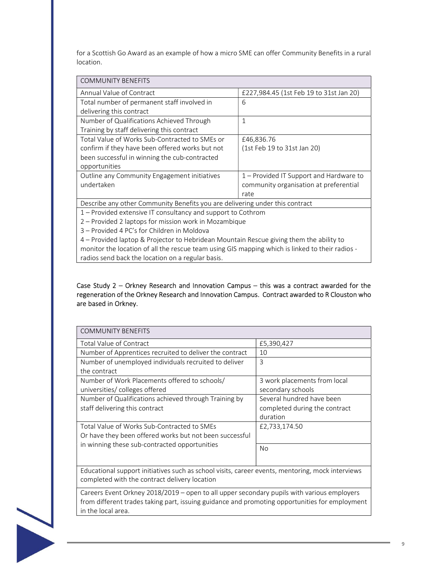for a Scottish Go Award as an example of how a micro SME can offer Community Benefits in a rural location.

| <b>COMMUNITY BENEFITS</b>                                                    |                                         |  |  |  |
|------------------------------------------------------------------------------|-----------------------------------------|--|--|--|
| Annual Value of Contract                                                     | £227,984.45 (1st Feb 19 to 31st Jan 20) |  |  |  |
| Total number of permanent staff involved in                                  | 6                                       |  |  |  |
| delivering this contract                                                     |                                         |  |  |  |
| Number of Qualifications Achieved Through                                    | $\mathbf{1}$                            |  |  |  |
| Training by staff delivering this contract                                   |                                         |  |  |  |
| Total Value of Works Sub-Contracted to SMEs or                               | £46,836.76                              |  |  |  |
| confirm if they have been offered works but not                              | (1st Feb 19 to 31st Jan 20)             |  |  |  |
| been successful in winning the cub-contracted                                |                                         |  |  |  |
| opportunities                                                                |                                         |  |  |  |
| Outline any Community Engagement initiatives                                 | 1 – Provided IT Support and Hardware to |  |  |  |
| undertaken                                                                   | community organisation at preferential  |  |  |  |
|                                                                              | rate                                    |  |  |  |
| Describe any other Community Benefits you are delivering under this contract |                                         |  |  |  |
| 1 - Provided extensive IT consultancy and support to Cothrom                 |                                         |  |  |  |

2 – Provided 2 laptops for mission work in Mozambique

3 – Provided 4 PC's for Children in Moldova

4 – Provided laptop & Projector to Hebridean Mountain Rescue giving them the ability to monitor the location of all the rescue team using GIS mapping which is linked to their radios radios send back the location on a regular basis.

#### Case Study 2 – Orkney Research and Innovation Campus – this was a contract awarded for the regeneration of the Orkney Research and Innovation Campus. Contract awarded to R Clouston who are based in Orkney.

| <b>COMMUNITY BENEFITS</b>                                                                                                                                                                    |                               |  |  |
|----------------------------------------------------------------------------------------------------------------------------------------------------------------------------------------------|-------------------------------|--|--|
| <b>Total Value of Contract</b>                                                                                                                                                               | £5,390,427                    |  |  |
| Number of Apprentices recruited to deliver the contract                                                                                                                                      | 10                            |  |  |
| Number of unemployed individuals recruited to deliver                                                                                                                                        | 3                             |  |  |
| the contract                                                                                                                                                                                 |                               |  |  |
| Number of Work Placements offered to schools/                                                                                                                                                | 3 work placements from local  |  |  |
| universities/ colleges offered                                                                                                                                                               | secondary schools             |  |  |
| Number of Qualifications achieved through Training by                                                                                                                                        | Several hundred have been     |  |  |
| staff delivering this contract                                                                                                                                                               | completed during the contract |  |  |
|                                                                                                                                                                                              | duration                      |  |  |
| Total Value of Works Sub-Contracted to SMEs                                                                                                                                                  | £2,733,174.50                 |  |  |
| Or have they been offered works but not been successful                                                                                                                                      |                               |  |  |
| in winning these sub-contracted opportunities                                                                                                                                                | <b>No</b>                     |  |  |
|                                                                                                                                                                                              |                               |  |  |
| Educational support initiatives such as school visits, career events, mentoring, mock interviews<br>completed with the contract delivery location                                            |                               |  |  |
| Careers Event Orkney 2018/2019 – open to all upper secondary pupils with various employers<br>from different trades taking part, issuing guidance and promoting opportunities for employment |                               |  |  |



in the local area.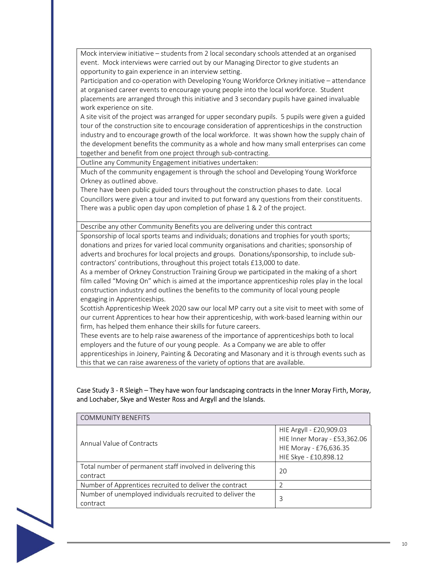Mock interview initiative – students from 2 local secondary schools attended at an organised event. Mock interviews were carried out by our Managing Director to give students an opportunity to gain experience in an interview setting.

Participation and co-operation with Developing Young Workforce Orkney initiative – attendance at organised career events to encourage young people into the local workforce. Student placements are arranged through this initiative and 3 secondary pupils have gained invaluable work experience on site.

A site visit of the project was arranged for upper secondary pupils. 5 pupils were given a guided tour of the construction site to encourage consideration of apprenticeships in the construction industry and to encourage growth of the local workforce. It was shown how the supply chain of the development benefits the community as a whole and how many small enterprises can come together and benefit from one project through sub-contracting.

Outline any Community Engagement initiatives undertaken:

Much of the community engagement is through the school and Developing Young Workforce Orkney as outlined above.

There have been public guided tours throughout the construction phases to date. Local Councillors were given a tour and invited to put forward any questions from their constituents. There was a public open day upon completion of phase 1 & 2 of the project.

Describe any other Community Benefits you are delivering under this contract

Sponsorship of local sports teams and individuals; donations and trophies for youth sports; donations and prizes for varied local community organisations and charities; sponsorship of adverts and brochures for local projects and groups. Donations/sponsorship, to include subcontractors' contributions, throughout this project totals £13,000 to date.

As a member of Orkney Construction Training Group we participated in the making of a short film called "Moving On" which is aimed at the importance apprenticeship roles play in the local construction industry and outlines the benefits to the community of local young people engaging in Apprenticeships.

Scottish Apprenticeship Week 2020 saw our local MP carry out a site visit to meet with some of our current Apprentices to hear how their apprenticeship, with work-based learning within our firm, has helped them enhance their skills for future careers.

These events are to help raise awareness of the importance of apprenticeships both to local employers and the future of our young people. As a Company we are able to offer apprenticeships in Joinery, Painting & Decorating and Masonary and it is through events such as this that we can raise awareness of the variety of options that are available.

Case Study 3 - R Sleigh – They have won four landscaping contracts in the Inner Moray Firth, Moray, and Lochaber, Skye and Wester Ross and Argyll and the Islands.

| <b>COMMUNITY BENEFITS</b>                                               |                                                                                                            |  |  |
|-------------------------------------------------------------------------|------------------------------------------------------------------------------------------------------------|--|--|
| Annual Value of Contracts                                               | HIE Argyll - £20,909.03<br>HIE Inner Moray - £53,362.06<br>HIE Moray - £76,636.35<br>HIE Skye - £10,898.12 |  |  |
| Total number of permanent staff involved in delivering this<br>contract | 20                                                                                                         |  |  |
| Number of Apprentices recruited to deliver the contract                 |                                                                                                            |  |  |
| Number of unemployed individuals recruited to deliver the<br>contract   | 3                                                                                                          |  |  |

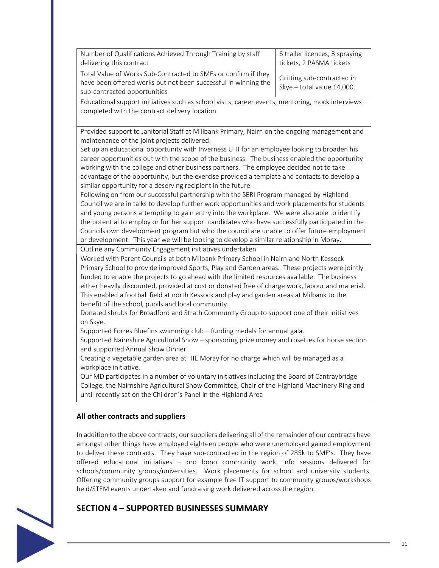| Number of Qualifications Achieved Through Training by staff                                                                                                      | 6 trailer licences, 3 spraying                           |
|------------------------------------------------------------------------------------------------------------------------------------------------------------------|----------------------------------------------------------|
| delivering this contract                                                                                                                                         | tickets, 2 PASMA tickets                                 |
| Total Value of Works Sub-Contracted to SMEs or confirm if they<br>have been offered works but not been successful in winning the<br>sub-contracted opportunities | Gritting sub-contracted in<br>Skye - total value £4,000. |

Educational support initiatives such as school visits, career events, mentoring, mock interviews completed with the contract delivery location

Provided support to Janitorial Staff at Millbank Primary, Nairn on the ongoing management and maintenance of the joint projects delivered.

Set up an educational opportunity with Inverness UHI for an employee looking to broaden his career opportunities out with the scope of the business. The business enabled the opportunity working with the college and other business partners. The employee decided not to take advantage of the opportunity, but the exercise provided a template and contacts to develop a similar opportunity for a deserving recipient in the future

Following on from our successful partnership with the SERI Program managed by Highland Council we are in talks to develop further work opportunities and work placements for students and young persons attempting to gain entry into the workplace. We were also able to identify the potential to employ or further support candidates who have successfully participated in the Councils own development program but who the council are unable to offer future employment or development. This year we will be looking to develop a similar relationship in Moray.

Outline any Community Engagement initiatives undertaken

Worked with Parent Councils at both Milbank Primary School in Nairn and North Kessock Primary School to provide improved Sports, Play and Garden areas. These projects were jointly funded to enable the projects to go ahead with the limited resources available. The business either heavily discounted, provided at cost or donated free of charge work, labour and material. This enabled a football field at north Kessock and play and garden areas at Milbank to the benefit of the school, pupils and local community.

Donated shrubs for Broadford and Strath Community Group to support one of their initiatives on Skye.

Supported Forres Bluefins swimming club – funding medals for annual gala.

Supported Nairnshire Agricultural Show – sponsoring prize money and rosettes for horse section and supported Annual Show Dinner

Creating a vegetable garden area at HIE Moray for no charge which will be managed as a workplace initiative.

Our MD participates in a number of voluntary initiatives including the Board of Cantraybridge College, the Nairnshire Agricultural Show Committee, Chair of the Highland Machinery Ring and until recently sat on the Children's Panel in the Highland Area

## All other contracts and suppliers

In addition to the above contracts, our suppliers delivering all of the remainder of our contracts have amongst other things have employed eighteen people who were unemployed gained employment to deliver these contracts. They have sub-contracted in the region of 285k to SME's. They have offered educational initiatives – pro bono community work, info sessions delivered for schools/community groups/universities. Work placements for school and university students. Offering community groups support for example free IT support to community groups/workshops held/STEM events undertaken and fundraising work delivered across the region.



## SECTION 4 – SUPPORTED BUSINESSES SUMMARY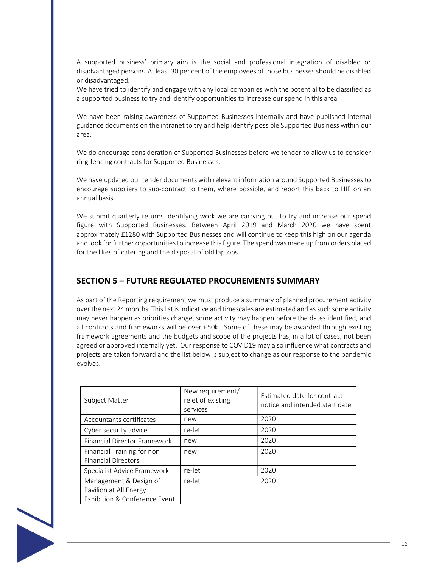A supported business' primary aim is the social and professional integration of disabled or disadvantaged persons. At least 30 per cent of the employees of those businesses should be disabled or disadvantaged.

We have tried to identify and engage with any local companies with the potential to be classified as a supported business to try and identify opportunities to increase our spend in this area.

We have been raising awareness of Supported Businesses internally and have published internal guidance documents on the intranet to try and help identify possible Supported Business within our area.

We do encourage consideration of Supported Businesses before we tender to allow us to consider ring-fencing contracts for Supported Businesses.

We have updated our tender documents with relevant information around Supported Businesses to encourage suppliers to sub-contract to them, where possible, and report this back to HIE on an annual basis.

We submit quarterly returns identifying work we are carrying out to try and increase our spend figure with Supported Businesses. Between April 2019 and March 2020 we have spent approximately £1280 with Supported Businesses and will continue to keep this high on our agenda and look for further opportunities to increase this figure. The spend was made up from orders placed for the likes of catering and the disposal of old laptops.

## SECTION 5 – FUTURE REGULATED PROCUREMENTS SUMMARY

As part of the Reporting requirement we must produce a summary of planned procurement activity over the next 24 months. This list is indicative and timescales are estimated and as such some activity may never happen as priorities change, some activity may happen before the dates identified, and all contracts and frameworks will be over £50k. Some of these may be awarded through existing framework agreements and the budgets and scope of the projects has, in a lot of cases, not been agreed or approved internally yet. Our response to COVID19 may also influence what contracts and projects are taken forward and the list below is subject to change as our response to the pandemic evolves.

| Subject Matter                                                                    | New requirement/<br>relet of existing<br>services | Estimated date for contract<br>notice and intended start date |
|-----------------------------------------------------------------------------------|---------------------------------------------------|---------------------------------------------------------------|
| Accountants certificates                                                          | new                                               | 2020                                                          |
| Cyber security advice                                                             | re-let                                            | 2020                                                          |
| <b>Financial Director Framework</b>                                               | new                                               | 2020                                                          |
| Financial Training for non<br><b>Financial Directors</b>                          | new                                               | 2020                                                          |
| Specialist Advice Framework                                                       | re-let                                            | 2020                                                          |
| Management & Design of<br>Pavilion at All Energy<br>Exhibition & Conference Event | re-let                                            | 2020                                                          |

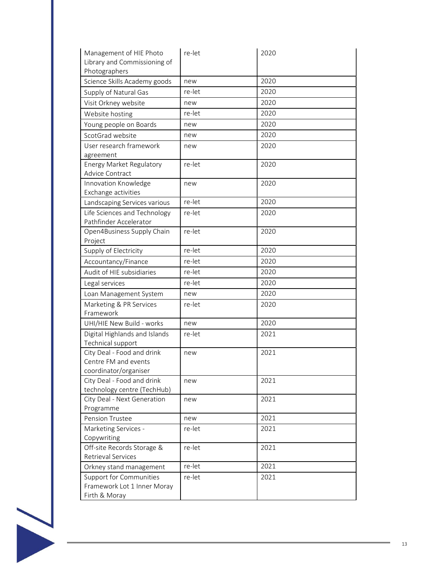| Management of HIE Photo<br>Library and Commissioning of<br>Photographers       | re-let | 2020 |
|--------------------------------------------------------------------------------|--------|------|
| Science Skills Academy goods                                                   | new    | 2020 |
| Supply of Natural Gas                                                          | re-let | 2020 |
| Visit Orkney website                                                           | new    | 2020 |
| Website hosting                                                                | re-let | 2020 |
| Young people on Boards                                                         | new    | 2020 |
| ScotGrad website                                                               | new    | 2020 |
| User research framework<br>agreement                                           | new    | 2020 |
| <b>Energy Market Regulatory</b><br>Advice Contract                             | re-let | 2020 |
| Innovation Knowledge<br>Exchange activities                                    | new    | 2020 |
| Landscaping Services various                                                   | re-let | 2020 |
| Life Sciences and Technology<br>Pathfinder Accelerator                         | re-let | 2020 |
| Open4Business Supply Chain<br>Project                                          | re-let | 2020 |
| Supply of Electricity                                                          | re-let | 2020 |
| Accountancy/Finance                                                            | re-let | 2020 |
| Audit of HIE subsidiaries                                                      | re-let | 2020 |
| Legal services                                                                 | re-let | 2020 |
| Loan Management System                                                         | new    | 2020 |
| Marketing & PR Services<br>Framework                                           | re-let | 2020 |
| UHI/HIE New Build - works                                                      | new    | 2020 |
| Digital Highlands and Islands<br>Technical support                             | re-let | 2021 |
| City Deal - Food and drink<br>Centre FM and events<br>coordinator/organiser    | new    | 2021 |
| City Deal - Food and drink<br>technology centre (TechHub)                      | new    | 2021 |
| City Deal - Next Generation<br>Programme                                       | new    | 2021 |
| <b>Pension Trustee</b>                                                         | new    | 2021 |
| Marketing Services -<br>Copywriting                                            | re-let | 2021 |
| Off-site Records Storage &<br>Retrieval Services                               | re-let | 2021 |
| Orkney stand management                                                        | re-let | 2021 |
| <b>Support for Communities</b><br>Framework Lot 1 Inner Moray<br>Firth & Moray | re-let | 2021 |

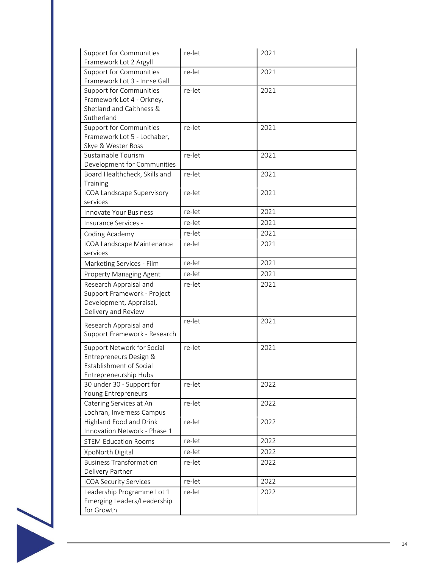| <b>Support for Communities</b><br>Framework Lot 2 Argyll                                                 | re-let | 2021 |
|----------------------------------------------------------------------------------------------------------|--------|------|
| <b>Support for Communities</b><br>Framework Lot 3 - Innse Gall                                           | re-let | 2021 |
| <b>Support for Communities</b><br>Framework Lot 4 - Orkney,<br>Shetland and Caithness &<br>Sutherland    | re-let | 2021 |
| <b>Support for Communities</b><br>Framework Lot 5 - Lochaber,<br>Skye & Wester Ross                      | re-let | 2021 |
| Sustainable Tourism<br>Development for Communities                                                       | re-let | 2021 |
| Board Healthcheck, Skills and<br>Training                                                                | re-let | 2021 |
| ICOA Landscape Supervisory<br>services                                                                   | re-let | 2021 |
| Innovate Your Business                                                                                   | re-let | 2021 |
| Insurance Services -                                                                                     | re-let | 2021 |
| Coding Academy                                                                                           | re-let | 2021 |
| ICOA Landscape Maintenance<br>services                                                                   | re-let | 2021 |
| Marketing Services - Film                                                                                | re-let | 2021 |
| Property Managing Agent                                                                                  | re-let | 2021 |
| Research Appraisal and<br>Support Framework - Project<br>Development, Appraisal,<br>Delivery and Review  | re-let | 2021 |
| Research Appraisal and<br>Support Framework - Research                                                   | re-let | 2021 |
| Support Network for Social<br>Entrepreneurs Design &<br>Establishment of Social<br>Entrepreneurship Hubs | re-let | 2021 |
| 30 under 30 - Support for<br>Young Entrepreneurs                                                         | re-let | 2022 |
| Catering Services at An<br>Lochran, Inverness Campus                                                     | re-let | 2022 |
| Highland Food and Drink<br>Innovation Network - Phase 1                                                  | re-let | 2022 |
| <b>STEM Education Rooms</b>                                                                              | re-let | 2022 |
| XpoNorth Digital                                                                                         | re-let | 2022 |
| <b>Business Transformation</b><br>Delivery Partner                                                       | re-let | 2022 |
| <b>ICOA Security Services</b>                                                                            | re-let | 2022 |
| Leadership Programme Lot 1<br>Emerging Leaders/Leadership<br>for Growth                                  | re-let | 2022 |
|                                                                                                          |        |      |